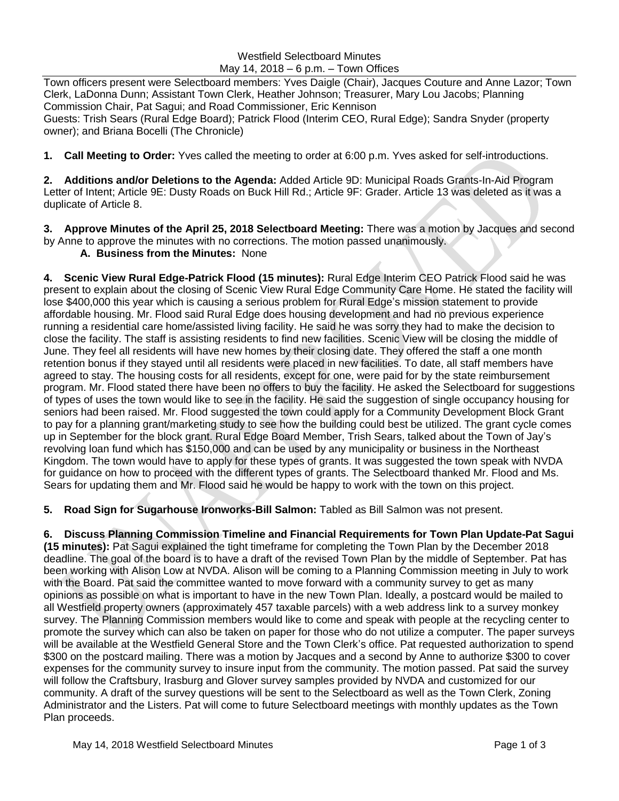## Westfield Selectboard Minutes May 14, 2018 – 6 p.m. – Town Offices

Town officers present were Selectboard members: Yves Daigle (Chair), Jacques Couture and Anne Lazor; Town Clerk, LaDonna Dunn; Assistant Town Clerk, Heather Johnson; Treasurer, Mary Lou Jacobs; Planning Commission Chair, Pat Sagui; and Road Commissioner, Eric Kennison Guests: Trish Sears (Rural Edge Board); Patrick Flood (Interim CEO, Rural Edge); Sandra Snyder (property owner); and Briana Bocelli (The Chronicle)

**1. Call Meeting to Order:** Yves called the meeting to order at 6:00 p.m. Yves asked for self-introductions.

**2. Additions and/or Deletions to the Agenda:** Added Article 9D: Municipal Roads Grants-In-Aid Program Letter of Intent; Article 9E: Dusty Roads on Buck Hill Rd.; Article 9F: Grader. Article 13 was deleted as it was a duplicate of Article 8.

**3. Approve Minutes of the April 25, 2018 Selectboard Meeting:** There was a motion by Jacques and second by Anne to approve the minutes with no corrections. The motion passed unanimously.

**A. Business from the Minutes:** None

**4. Scenic View Rural Edge-Patrick Flood (15 minutes):** Rural Edge Interim CEO Patrick Flood said he was present to explain about the closing of Scenic View Rural Edge Community Care Home. He stated the facility will lose \$400,000 this year which is causing a serious problem for Rural Edge's mission statement to provide affordable housing. Mr. Flood said Rural Edge does housing development and had no previous experience running a residential care home/assisted living facility. He said he was sorry they had to make the decision to close the facility. The staff is assisting residents to find new facilities. Scenic View will be closing the middle of June. They feel all residents will have new homes by their closing date. They offered the staff a one month retention bonus if they stayed until all residents were placed in new facilities. To date, all staff members have agreed to stay. The housing costs for all residents, except for one, were paid for by the state reimbursement program. Mr. Flood stated there have been no offers to buy the facility. He asked the Selectboard for suggestions of types of uses the town would like to see in the facility. He said the suggestion of single occupancy housing for seniors had been raised. Mr. Flood suggested the town could apply for a Community Development Block Grant to pay for a planning grant/marketing study to see how the building could best be utilized. The grant cycle comes up in September for the block grant. Rural Edge Board Member, Trish Sears, talked about the Town of Jay's revolving loan fund which has \$150,000 and can be used by any municipality or business in the Northeast Kingdom. The town would have to apply for these types of grants. It was suggested the town speak with NVDA for guidance on how to proceed with the different types of grants. The Selectboard thanked Mr. Flood and Ms. Sears for updating them and Mr. Flood said he would be happy to work with the town on this project.

**5. Road Sign for Sugarhouse Ironworks-Bill Salmon:** Tabled as Bill Salmon was not present.

**6. Discuss Planning Commission Timeline and Financial Requirements for Town Plan Update-Pat Sagui (15 minutes):** Pat Sagui explained the tight timeframe for completing the Town Plan by the December 2018 deadline. The goal of the board is to have a draft of the revised Town Plan by the middle of September. Pat has been working with Alison Low at NVDA. Alison will be coming to a Planning Commission meeting in July to work with the Board. Pat said the committee wanted to move forward with a community survey to get as many opinions as possible on what is important to have in the new Town Plan. Ideally, a postcard would be mailed to all Westfield property owners (approximately 457 taxable parcels) with a web address link to a survey monkey survey. The Planning Commission members would like to come and speak with people at the recycling center to promote the survey which can also be taken on paper for those who do not utilize a computer. The paper surveys will be available at the Westfield General Store and the Town Clerk's office. Pat requested authorization to spend \$300 on the postcard mailing. There was a motion by Jacques and a second by Anne to authorize \$300 to cover expenses for the community survey to insure input from the community. The motion passed. Pat said the survey will follow the Craftsbury, Irasburg and Glover survey samples provided by NVDA and customized for our community. A draft of the survey questions will be sent to the Selectboard as well as the Town Clerk, Zoning Administrator and the Listers. Pat will come to future Selectboard meetings with monthly updates as the Town Plan proceeds.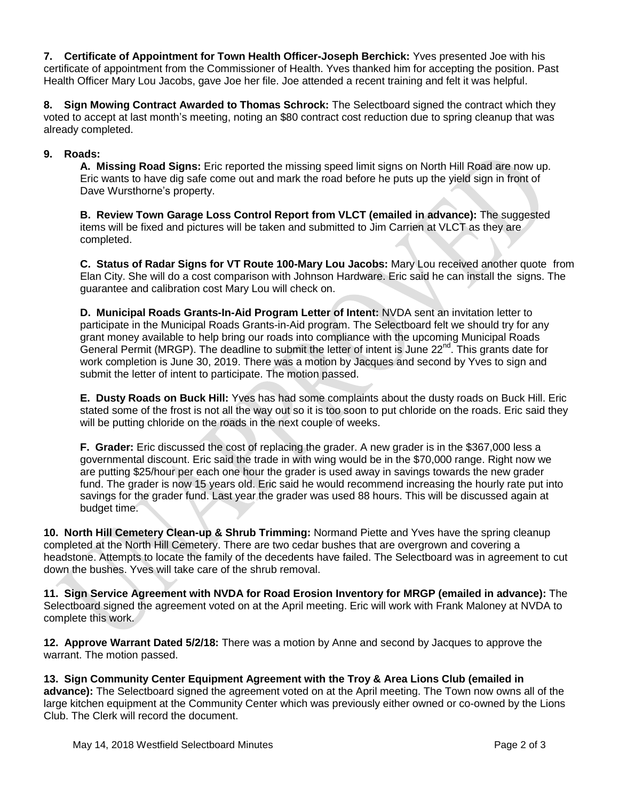**7. Certificate of Appointment for Town Health Officer-Joseph Berchick:** Yves presented Joe with his certificate of appointment from the Commissioner of Health. Yves thanked him for accepting the position. Past Health Officer Mary Lou Jacobs, gave Joe her file. Joe attended a recent training and felt it was helpful.

**8. Sign Mowing Contract Awarded to Thomas Schrock:** The Selectboard signed the contract which they voted to accept at last month's meeting, noting an \$80 contract cost reduction due to spring cleanup that was already completed.

## **9. Roads:**

**A. Missing Road Signs:** Eric reported the missing speed limit signs on North Hill Road are now up. Eric wants to have dig safe come out and mark the road before he puts up the yield sign in front of Dave Wursthorne's property.

**B. Review Town Garage Loss Control Report from VLCT (emailed in advance):** The suggested items will be fixed and pictures will be taken and submitted to Jim Carrien at VLCT as they are completed.

**C. Status of Radar Signs for VT Route 100-Mary Lou Jacobs:** Mary Lou received another quote from Elan City. She will do a cost comparison with Johnson Hardware. Eric said he can install the signs. The guarantee and calibration cost Mary Lou will check on.

**D. Municipal Roads Grants-In-Aid Program Letter of Intent:** NVDA sent an invitation letter to participate in the Municipal Roads Grants-in-Aid program. The Selectboard felt we should try for any grant money available to help bring our roads into compliance with the upcoming Municipal Roads General Permit (MRGP). The deadline to submit the letter of intent is June 22<sup>nd</sup>. This grants date for work completion is June 30, 2019. There was a motion by Jacques and second by Yves to sign and submit the letter of intent to participate. The motion passed.

**E. Dusty Roads on Buck Hill:** Yves has had some complaints about the dusty roads on Buck Hill. Eric stated some of the frost is not all the way out so it is too soon to put chloride on the roads. Eric said they will be putting chloride on the roads in the next couple of weeks.

**F. Grader:** Eric discussed the cost of replacing the grader. A new grader is in the \$367,000 less a governmental discount. Eric said the trade in with wing would be in the \$70,000 range. Right now we are putting \$25/hour per each one hour the grader is used away in savings towards the new grader fund. The grader is now 15 years old. Eric said he would recommend increasing the hourly rate put into savings for the grader fund. Last year the grader was used 88 hours. This will be discussed again at budget time.

**10. North Hill Cemetery Clean-up & Shrub Trimming:** Normand Piette and Yves have the spring cleanup completed at the North Hill Cemetery. There are two cedar bushes that are overgrown and covering a headstone. Attempts to locate the family of the decedents have failed. The Selectboard was in agreement to cut down the bushes. Yves will take care of the shrub removal.

**11. Sign Service Agreement with NVDA for Road Erosion Inventory for MRGP (emailed in advance):** The Selectboard signed the agreement voted on at the April meeting. Eric will work with Frank Maloney at NVDA to complete this work.

**12. Approve Warrant Dated 5/2/18:** There was a motion by Anne and second by Jacques to approve the warrant. The motion passed.

**13. Sign Community Center Equipment Agreement with the Troy & Area Lions Club (emailed in advance):** The Selectboard signed the agreement voted on at the April meeting. The Town now owns all of the large kitchen equipment at the Community Center which was previously either owned or co-owned by the Lions Club. The Clerk will record the document.